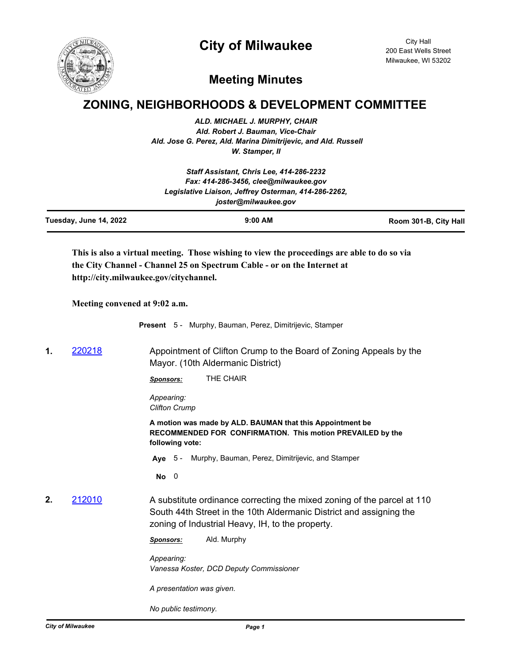## **City of Milwaukee**



City Hall 200 East Wells Street Milwaukee, WI 53202

## **Meeting Minutes**

## **ZONING, NEIGHBORHOODS & DEVELOPMENT COMMITTEE**

*ALD. MICHAEL J. MURPHY, CHAIR Ald. Robert J. Bauman, Vice-Chair Ald. Jose G. Perez, Ald. Marina Dimitrijevic, and Ald. Russell W. Stamper, II*

|                        | Staff Assistant, Chris Lee, 414-286-2232<br>Fax: 414-286-3456, clee@milwaukee.gov |                       |
|------------------------|-----------------------------------------------------------------------------------|-----------------------|
|                        | Legislative Liaison, Jeffrey Osterman, 414-286-2262,<br>joster@milwaukee.gov      |                       |
| Tuesday, June 14, 2022 | $9:00$ AM                                                                         | Room 301-B, City Hall |

**This is also a virtual meeting. Those wishing to view the proceedings are able to do so via the City Channel - Channel 25 on Spectrum Cable - or on the Internet at http://city.milwaukee.gov/citychannel.**

**Meeting convened at 9:02 a.m.**

**Present** 5 - Murphy, Bauman, Perez, Dimitrijevic, Stamper

**1. [220218](http://milwaukee.legistar.com/gateway.aspx?m=l&id=/matter.aspx?key=62345)** Appointment of Clifton Crump to the Board of Zoning Appeals by the Mayor. (10th Aldermanic District)

*Sponsors:* THE CHAIR

*Appearing: Clifton Crump*

**A motion was made by ALD. BAUMAN that this Appointment be RECOMMENDED FOR CONFIRMATION. This motion PREVAILED by the following vote:**

**Aye** 5 - Murphy, Bauman, Perez, Dimitrijevic, and Stamper

**No** 0

**2.** [212010](http://milwaukee.legistar.com/gateway.aspx?m=l&id=/matter.aspx?key=61941) A substitute ordinance correcting the mixed zoning of the parcel at 110 South 44th Street in the 10th Aldermanic District and assigning the zoning of Industrial Heavy, IH, to the property.

*Sponsors:* Ald. Murphy

*Appearing: Vanessa Koster, DCD Deputy Commissioner*

*A presentation was given.*

*No public testimony.*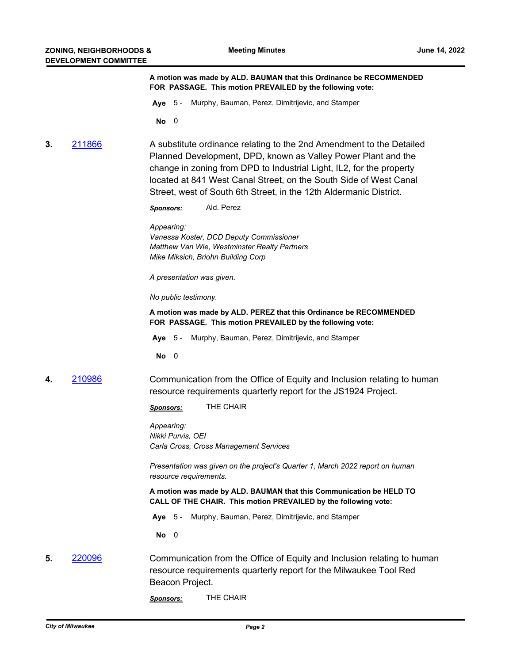**A motion was made by ALD. BAUMAN that this Ordinance be RECOMMENDED FOR PASSAGE. This motion PREVAILED by the following vote:**

- **Aye** 5 Murphy, Bauman, Perez, Dimitrijevic, and Stamper
- **No** 0

**3.** [211866](http://milwaukee.legistar.com/gateway.aspx?m=l&id=/matter.aspx?key=61713) A substitute ordinance relating to the 2nd Amendment to the Detailed Planned Development, DPD, known as Valley Power Plant and the change in zoning from DPD to Industrial Light, IL2, for the property located at 841 West Canal Street, on the South Side of West Canal Street, west of South 6th Street, in the 12th Aldermanic District.

*Sponsors:* Ald. Perez

*Appearing:*

*Vanessa Koster, DCD Deputy Commissioner Matthew Van Wie, Westminster Realty Partners Mike Miksich, Briohn Building Corp*

*A presentation was given.*

*No public testimony.*

**A motion was made by ALD. PEREZ that this Ordinance be RECOMMENDED FOR PASSAGE. This motion PREVAILED by the following vote:**

**Aye** 5 - Murphy, Bauman, Perez, Dimitrijevic, and Stamper

**No** 0

**4.** [210986](http://milwaukee.legistar.com/gateway.aspx?m=l&id=/matter.aspx?key=60398) Communication from the Office of Equity and Inclusion relating to human resource requirements quarterly report for the JS1924 Project.

*Sponsors:* THE CHAIR

*Appearing: Nikki Purvis, OEI Carla Cross, Cross Management Services*

*Presentation was given on the project's Quarter 1, March 2022 report on human resource requirements.*

**A motion was made by ALD. BAUMAN that this Communication be HELD TO CALL OF THE CHAIR. This motion PREVAILED by the following vote:**

**Aye** 5 - Murphy, Bauman, Perez, Dimitrijevic, and Stamper

**No** 0

**5.** [220096](http://milwaukee.legistar.com/gateway.aspx?m=l&id=/matter.aspx?key=62123) Communication from the Office of Equity and Inclusion relating to human resource requirements quarterly report for the Milwaukee Tool Red Beacon Project.

*Sponsors:* THE CHAIR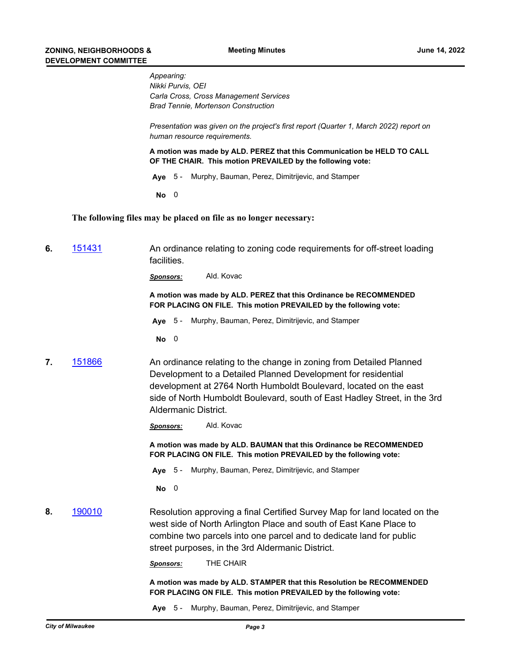*Appearing: Nikki Purvis, OEI Carla Cross, Cross Management Services Brad Tennie, Mortenson Construction*

*Presentation was given on the project's first report (Quarter 1, March 2022) report on human resource requirements.*

**A motion was made by ALD. PEREZ that this Communication be HELD TO CALL OF THE CHAIR. This motion PREVAILED by the following vote:**

**Aye** 5 - Murphy, Bauman, Perez, Dimitrijevic, and Stamper

**No** 0

**The following files may be placed on file as no longer necessary:**

**6.** [151431](http://milwaukee.legistar.com/gateway.aspx?m=l&id=/matter.aspx?key=43061) An ordinance relating to zoning code requirements for off-street loading facilities.

*Sponsors:* Ald. Kovac

**A motion was made by ALD. PEREZ that this Ordinance be RECOMMENDED FOR PLACING ON FILE. This motion PREVAILED by the following vote:**

**Aye** 5 - Murphy, Bauman, Perez, Dimitrijevic, and Stamper

**No** 0

**7.** [151866](http://milwaukee.legistar.com/gateway.aspx?m=l&id=/matter.aspx?key=43593) An ordinance relating to the change in zoning from Detailed Planned Development to a Detailed Planned Development for residential development at 2764 North Humboldt Boulevard, located on the east side of North Humboldt Boulevard, south of East Hadley Street, in the 3rd Aldermanic District.

*Sponsors:* Ald. Kovac

**A motion was made by ALD. BAUMAN that this Ordinance be RECOMMENDED FOR PLACING ON FILE. This motion PREVAILED by the following vote:**

**Aye** 5 - Murphy, Bauman, Perez, Dimitrijevic, and Stamper

**No** 0

**8.** [190010](http://milwaukee.legistar.com/gateway.aspx?m=l&id=/matter.aspx?key=51376) Resolution approving a final Certified Survey Map for land located on the west side of North Arlington Place and south of East Kane Place to combine two parcels into one parcel and to dedicate land for public street purposes, in the 3rd Aldermanic District.

*Sponsors:* THE CHAIR

**A motion was made by ALD. STAMPER that this Resolution be RECOMMENDED FOR PLACING ON FILE. This motion PREVAILED by the following vote:**

**Aye** 5 - Murphy, Bauman, Perez, Dimitrijevic, and Stamper